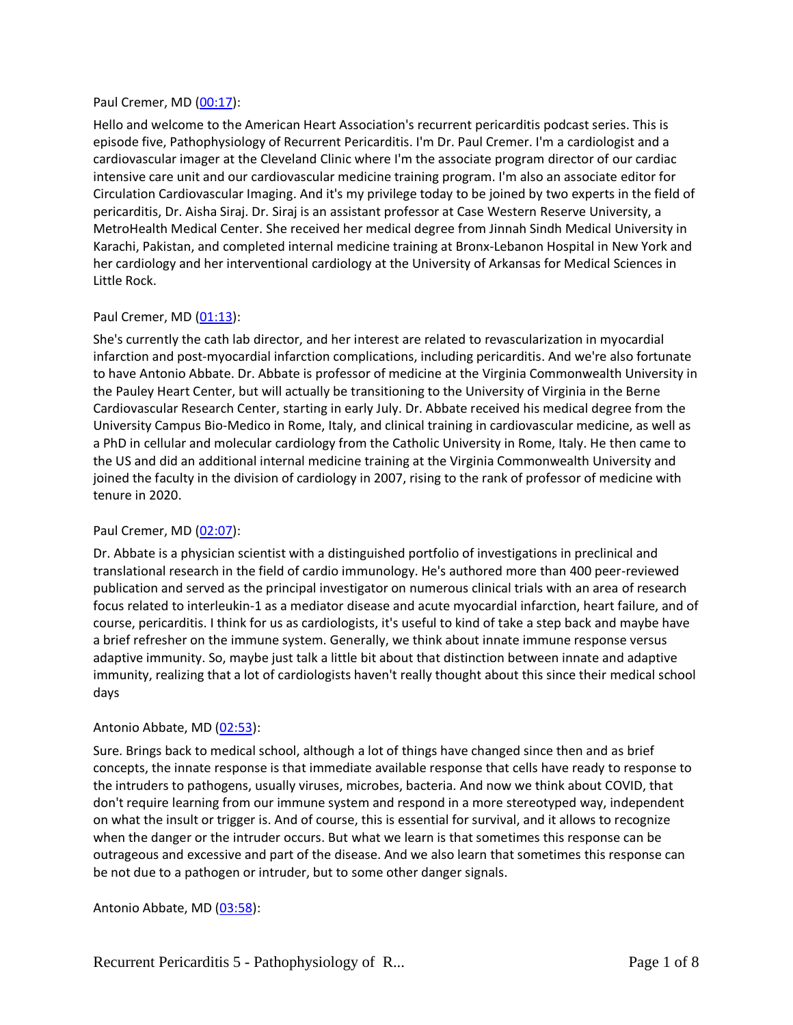#### Paul Cremer, MD [\(00:17\)](https://www.rev.com/transcript-editor/Edit?token=uDuy-h7NdXKgLAFt7fS2ApbMwbjx1dlU8GuWxPcjLNza3zHS5evUuBVdwKg6Sf1dhmTmrnE5RXtPn_fpoUjp9golBFs&loadFrom=DocumentDeeplink&ts=17.16):

Hello and welcome to the American Heart Association's recurrent pericarditis podcast series. This is episode five, Pathophysiology of Recurrent Pericarditis. I'm Dr. Paul Cremer. I'm a cardiologist and a cardiovascular imager at the Cleveland Clinic where I'm the associate program director of our cardiac intensive care unit and our cardiovascular medicine training program. I'm also an associate editor for Circulation Cardiovascular Imaging. And it's my privilege today to be joined by two experts in the field of pericarditis, Dr. Aisha Siraj. Dr. Siraj is an assistant professor at Case Western Reserve University, a MetroHealth Medical Center. She received her medical degree from Jinnah Sindh Medical University in Karachi, Pakistan, and completed internal medicine training at Bronx-Lebanon Hospital in New York and her cardiology and her interventional cardiology at the University of Arkansas for Medical Sciences in Little Rock.

## Paul Cremer, MD [\(01:13\)](https://www.rev.com/transcript-editor/Edit?token=5dacMpNCsDzA9TKmOJtM1TOGYjmSBYrxzjYlVYiNfdg00bcIpuZuGwPh0UYqQ3vrHcIvFlT8O1Ti1zWj0z8Y-dvmbgQ&loadFrom=DocumentDeeplink&ts=73.87):

She's currently the cath lab director, and her interest are related to revascularization in myocardial infarction and post-myocardial infarction complications, including pericarditis. And we're also fortunate to have Antonio Abbate. Dr. Abbate is professor of medicine at the Virginia Commonwealth University in the Pauley Heart Center, but will actually be transitioning to the University of Virginia in the Berne Cardiovascular Research Center, starting in early July. Dr. Abbate received his medical degree from the University Campus Bio-Medico in Rome, Italy, and clinical training in cardiovascular medicine, as well as a PhD in cellular and molecular cardiology from the Catholic University in Rome, Italy. He then came to the US and did an additional internal medicine training at the Virginia Commonwealth University and joined the faculty in the division of cardiology in 2007, rising to the rank of professor of medicine with tenure in 2020.

## Paul Cremer, MD [\(02:07\)](https://www.rev.com/transcript-editor/Edit?token=3qxgz1-0bR-2Lir2tT8Yho2KmkeSb7p0fr5ry0K1UIaE-po4XRTWZu3Zki1EZFxoWMzN9Gig6BZz5ypzSVe57xvWu8w&loadFrom=DocumentDeeplink&ts=127.25):

Dr. Abbate is a physician scientist with a distinguished portfolio of investigations in preclinical and translational research in the field of cardio immunology. He's authored more than 400 peer-reviewed publication and served as the principal investigator on numerous clinical trials with an area of research focus related to interleukin-1 as a mediator disease and acute myocardial infarction, heart failure, and of course, pericarditis. I think for us as cardiologists, it's useful to kind of take a step back and maybe have a brief refresher on the immune system. Generally, we think about innate immune response versus adaptive immunity. So, maybe just talk a little bit about that distinction between innate and adaptive immunity, realizing that a lot of cardiologists haven't really thought about this since their medical school days

## Antonio Abbate, MD [\(02:53\)](https://www.rev.com/transcript-editor/Edit?token=WfsuC_73ikk6lUEIVc9SvvvRhu0UNIeeq4V1tb-0I1YQOjAaa66u8FTs4_E3MplYs52pV-lWjmZ6zGF4K9G8wgZ1ZB8&loadFrom=DocumentDeeplink&ts=173.44):

Sure. Brings back to medical school, although a lot of things have changed since then and as brief concepts, the innate response is that immediate available response that cells have ready to response to the intruders to pathogens, usually viruses, microbes, bacteria. And now we think about COVID, that don't require learning from our immune system and respond in a more stereotyped way, independent on what the insult or trigger is. And of course, this is essential for survival, and it allows to recognize when the danger or the intruder occurs. But what we learn is that sometimes this response can be outrageous and excessive and part of the disease. And we also learn that sometimes this response can be not due to a pathogen or intruder, but to some other danger signals.

Antonio Abbate, MD [\(03:58\)](https://www.rev.com/transcript-editor/Edit?token=KB_PNoQcMJucZdofsWa_KwDUSbMPU_ykoAPetAuOnwAKLO2ibl0tNZFqa6tc_Hi4tQor5ZXBUVd5A0H4yB6UmKHixos&loadFrom=DocumentDeeplink&ts=238.58):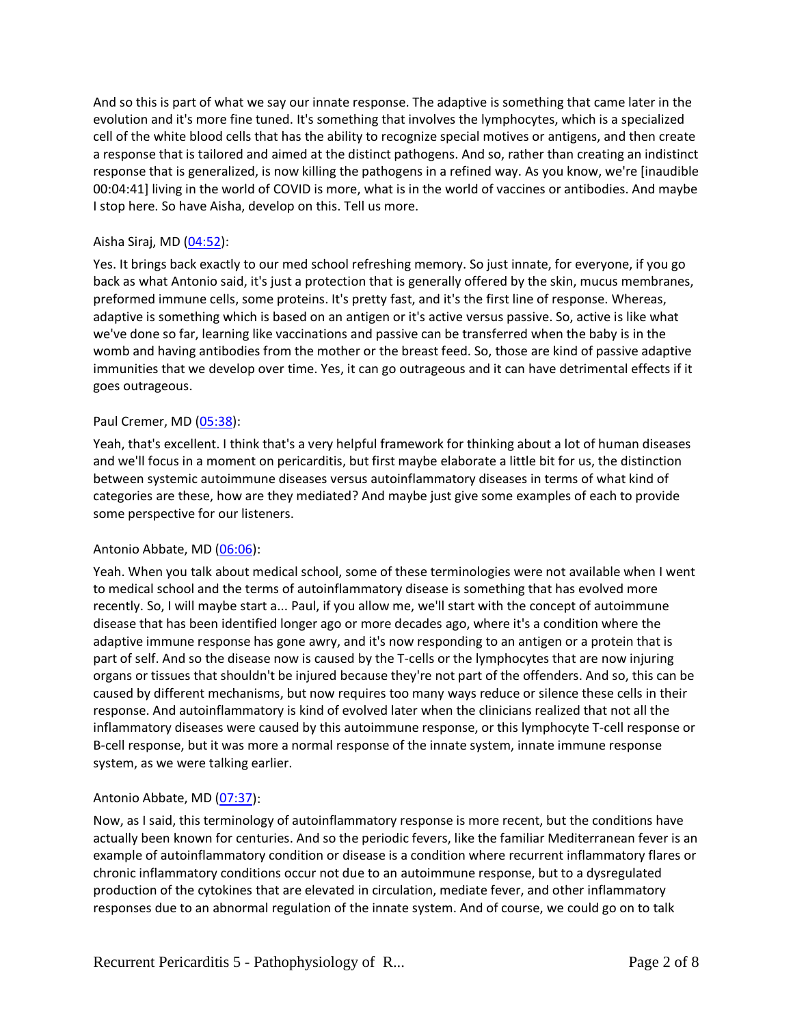And so this is part of what we say our innate response. The adaptive is something that came later in the evolution and it's more fine tuned. It's something that involves the lymphocytes, which is a specialized cell of the white blood cells that has the ability to recognize special motives or antigens, and then create a response that is tailored and aimed at the distinct pathogens. And so, rather than creating an indistinct response that is generalized, is now killing the pathogens in a refined way. As you know, we're [inaudible 00:04:41] living in the world of COVID is more, what is in the world of vaccines or antibodies. And maybe I stop here. So have Aisha, develop on this. Tell us more.

## Aisha Siraj, MD $(04:52)$ :

Yes. It brings back exactly to our med school refreshing memory. So just innate, for everyone, if you go back as what Antonio said, it's just a protection that is generally offered by the skin, mucus membranes, preformed immune cells, some proteins. It's pretty fast, and it's the first line of response. Whereas, adaptive is something which is based on an antigen or it's active versus passive. So, active is like what we've done so far, learning like vaccinations and passive can be transferred when the baby is in the womb and having antibodies from the mother or the breast feed. So, those are kind of passive adaptive immunities that we develop over time. Yes, it can go outrageous and it can have detrimental effects if it goes outrageous.

## Paul Cremer, MD [\(05:38\)](https://www.rev.com/transcript-editor/Edit?token=M1vHy9ehZ1AongaSTWZ6XzPEqdEm4KvxbtfzkJBRnWWjOJU4ny4ALGGoBBJ-MRhOf-X6kML0mnJuxhSMTY5jNmBBY5E&loadFrom=DocumentDeeplink&ts=338.54):

Yeah, that's excellent. I think that's a very helpful framework for thinking about a lot of human diseases and we'll focus in a moment on pericarditis, but first maybe elaborate a little bit for us, the distinction between systemic autoimmune diseases versus autoinflammatory diseases in terms of what kind of categories are these, how are they mediated? And maybe just give some examples of each to provide some perspective for our listeners.

## Antonio Abbate, MD [\(06:06\)](https://www.rev.com/transcript-editor/Edit?token=UxhSg8nE47IFJzuuLWCBNe96g_BhCsgJvMaVLpFWaJHNnDF9vGTCTe81XCrFd10hmGLkr6OBNqoWPSZBKYfJRzqrz0M&loadFrom=DocumentDeeplink&ts=366.72):

Yeah. When you talk about medical school, some of these terminologies were not available when I went to medical school and the terms of autoinflammatory disease is something that has evolved more recently. So, I will maybe start a... Paul, if you allow me, we'll start with the concept of autoimmune disease that has been identified longer ago or more decades ago, where it's a condition where the adaptive immune response has gone awry, and it's now responding to an antigen or a protein that is part of self. And so the disease now is caused by the T-cells or the lymphocytes that are now injuring organs or tissues that shouldn't be injured because they're not part of the offenders. And so, this can be caused by different mechanisms, but now requires too many ways reduce or silence these cells in their response. And autoinflammatory is kind of evolved later when the clinicians realized that not all the inflammatory diseases were caused by this autoimmune response, or this lymphocyte T-cell response or B-cell response, but it was more a normal response of the innate system, innate immune response system, as we were talking earlier.

## Antonio Abbate, MD [\(07:37\)](https://www.rev.com/transcript-editor/Edit?token=fPWGd9R10KmHWo0jaRCa4ueF6q4lz5Ym6VkAzMK-f6SioGoBx9dvZttjM7khH3-HOuHQdL3HqFQBs9rUH6M6n5oL4PE&loadFrom=DocumentDeeplink&ts=457.51):

Now, as I said, this terminology of autoinflammatory response is more recent, but the conditions have actually been known for centuries. And so the periodic fevers, like the familiar Mediterranean fever is an example of autoinflammatory condition or disease is a condition where recurrent inflammatory flares or chronic inflammatory conditions occur not due to an autoimmune response, but to a dysregulated production of the cytokines that are elevated in circulation, mediate fever, and other inflammatory responses due to an abnormal regulation of the innate system. And of course, we could go on to talk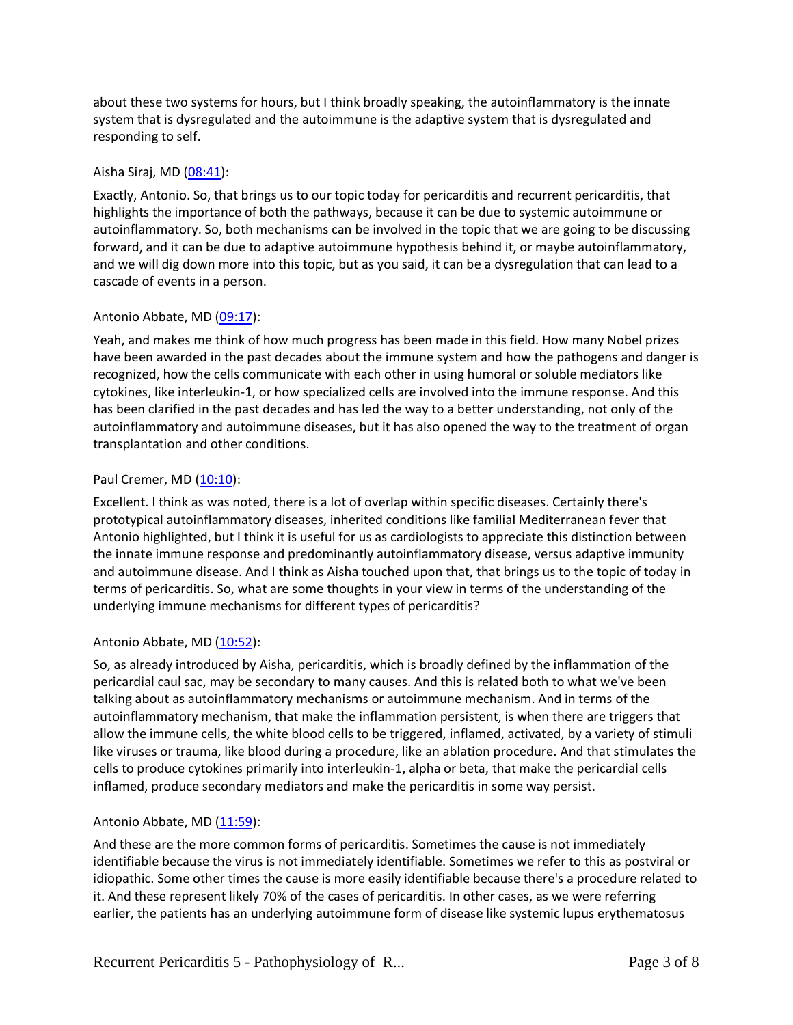about these two systems for hours, but I think broadly speaking, the autoinflammatory is the innate system that is dysregulated and the autoimmune is the adaptive system that is dysregulated and responding to self.

## Aisha Siraj, MD  $(08:41)$ :

Exactly, Antonio. So, that brings us to our topic today for pericarditis and recurrent pericarditis, that highlights the importance of both the pathways, because it can be due to systemic autoimmune or autoinflammatory. So, both mechanisms can be involved in the topic that we are going to be discussing forward, and it can be due to adaptive autoimmune hypothesis behind it, or maybe autoinflammatory, and we will dig down more into this topic, but as you said, it can be a dysregulation that can lead to a cascade of events in a person.

# Antonio Abbate, MD [\(09:17\)](https://www.rev.com/transcript-editor/Edit?token=Nv6b96HSlq5ISohT8TH9VWhQ6Pi24zQ39lx96LpaQIHvaqzgiy9U4QDcozXuVlEz0F3VxM4EIrSbSSQD07VwaXU2z1w&loadFrom=DocumentDeeplink&ts=557.29):

Yeah, and makes me think of how much progress has been made in this field. How many Nobel prizes have been awarded in the past decades about the immune system and how the pathogens and danger is recognized, how the cells communicate with each other in using humoral or soluble mediators like cytokines, like interleukin-1, or how specialized cells are involved into the immune response. And this has been clarified in the past decades and has led the way to a better understanding, not only of the autoinflammatory and autoimmune diseases, but it has also opened the way to the treatment of organ transplantation and other conditions.

# Paul Cremer, MD [\(10:10\)](https://www.rev.com/transcript-editor/Edit?token=e8LcdxCnJ92DsMvTOhtfs1z5gmf8kWOjgzA3Og3toVb9jriLlx_i1kxYCr8hoAzSB0n1pPw5CfZhIxrtshJbqXaBHVQ&loadFrom=DocumentDeeplink&ts=610.5):

Excellent. I think as was noted, there is a lot of overlap within specific diseases. Certainly there's prototypical autoinflammatory diseases, inherited conditions like familial Mediterranean fever that Antonio highlighted, but I think it is useful for us as cardiologists to appreciate this distinction between the innate immune response and predominantly autoinflammatory disease, versus adaptive immunity and autoimmune disease. And I think as Aisha touched upon that, that brings us to the topic of today in terms of pericarditis. So, what are some thoughts in your view in terms of the understanding of the underlying immune mechanisms for different types of pericarditis?

## Antonio Abbate, MD [\(10:52\)](https://www.rev.com/transcript-editor/Edit?token=d_EI0raUiVwvL7Q3HxlvVtzMKyb4FgfQeapd07Ez5cltdg90LMGLkwgmHGiWzCDbRxO-uPCSaRyg1bDLVZDyLpBd3B4&loadFrom=DocumentDeeplink&ts=652.29):

So, as already introduced by Aisha, pericarditis, which is broadly defined by the inflammation of the pericardial caul sac, may be secondary to many causes. And this is related both to what we've been talking about as autoinflammatory mechanisms or autoimmune mechanism. And in terms of the autoinflammatory mechanism, that make the inflammation persistent, is when there are triggers that allow the immune cells, the white blood cells to be triggered, inflamed, activated, by a variety of stimuli like viruses or trauma, like blood during a procedure, like an ablation procedure. And that stimulates the cells to produce cytokines primarily into interleukin-1, alpha or beta, that make the pericardial cells inflamed, produce secondary mediators and make the pericarditis in some way persist.

## Antonio Abbate, MD [\(11:59\)](https://www.rev.com/transcript-editor/Edit?token=TwfMl_bn1n6IcFOOWdhNsGTGQUPQfdGz9nw9d-Rh2yYfZ8Z-yAG2nBoD8lBNzz1YKMOv4E-BmTxD6YtkYteYuB2xJGM&loadFrom=DocumentDeeplink&ts=719.72):

And these are the more common forms of pericarditis. Sometimes the cause is not immediately identifiable because the virus is not immediately identifiable. Sometimes we refer to this as postviral or idiopathic. Some other times the cause is more easily identifiable because there's a procedure related to it. And these represent likely 70% of the cases of pericarditis. In other cases, as we were referring earlier, the patients has an underlying autoimmune form of disease like systemic lupus erythematosus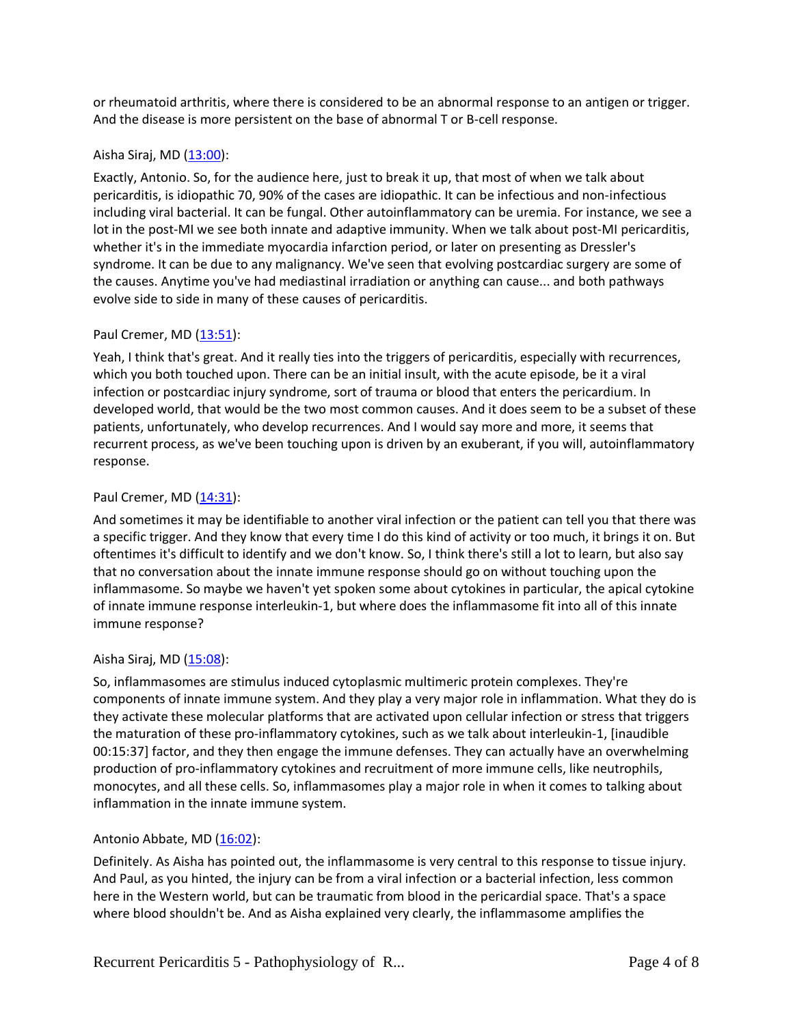or rheumatoid arthritis, where there is considered to be an abnormal response to an antigen or trigger. And the disease is more persistent on the base of abnormal T or B-cell response.

## Aisha Siraj, MD $(13:00)$ :

Exactly, Antonio. So, for the audience here, just to break it up, that most of when we talk about pericarditis, is idiopathic 70, 90% of the cases are idiopathic. It can be infectious and non-infectious including viral bacterial. It can be fungal. Other autoinflammatory can be uremia. For instance, we see a lot in the post-MI we see both innate and adaptive immunity. When we talk about post-MI pericarditis, whether it's in the immediate myocardia infarction period, or later on presenting as Dressler's syndrome. It can be due to any malignancy. We've seen that evolving postcardiac surgery are some of the causes. Anytime you've had mediastinal irradiation or anything can cause... and both pathways evolve side to side in many of these causes of pericarditis.

#### Paul Cremer, MD [\(13:51\)](https://www.rev.com/transcript-editor/Edit?token=JCYGIvthwyaHTBkFk9MR1aTGLOEvYy-HOiU75oWJbFH8BdK008I2ap_X_7gQDB1cztxwzfkpzCz2wotqzsGAJfGo31E&loadFrom=DocumentDeeplink&ts=831.9):

Yeah, I think that's great. And it really ties into the triggers of pericarditis, especially with recurrences, which you both touched upon. There can be an initial insult, with the acute episode, be it a viral infection or postcardiac injury syndrome, sort of trauma or blood that enters the pericardium. In developed world, that would be the two most common causes. And it does seem to be a subset of these patients, unfortunately, who develop recurrences. And I would say more and more, it seems that recurrent process, as we've been touching upon is driven by an exuberant, if you will, autoinflammatory response.

#### Paul Cremer, MD [\(14:31\)](https://www.rev.com/transcript-editor/Edit?token=6lJMHhJYeO-A3G91oDWlQm12n8YwZZPqeaNUgme6BhY2d71kuFjxZHWV_l6chVID_U0igFWor8G1IgdGVD2bYNWjDUY&loadFrom=DocumentDeeplink&ts=871.83):

And sometimes it may be identifiable to another viral infection or the patient can tell you that there was a specific trigger. And they know that every time I do this kind of activity or too much, it brings it on. But oftentimes it's difficult to identify and we don't know. So, I think there's still a lot to learn, but also say that no conversation about the innate immune response should go on without touching upon the inflammasome. So maybe we haven't yet spoken some about cytokines in particular, the apical cytokine of innate immune response interleukin-1, but where does the inflammasome fit into all of this innate immune response?

#### Aisha Siraj, MD $(15:08)$ :

So, inflammasomes are stimulus induced cytoplasmic multimeric protein complexes. They're components of innate immune system. And they play a very major role in inflammation. What they do is they activate these molecular platforms that are activated upon cellular infection or stress that triggers the maturation of these pro-inflammatory cytokines, such as we talk about interleukin-1, [inaudible 00:15:37] factor, and they then engage the immune defenses. They can actually have an overwhelming production of pro-inflammatory cytokines and recruitment of more immune cells, like neutrophils, monocytes, and all these cells. So, inflammasomes play a major role in when it comes to talking about inflammation in the innate immune system.

## Antonio Abbate, MD [\(16:02\)](https://www.rev.com/transcript-editor/Edit?token=J6HdoINHXcC0H-1vWrypwUs5PNpLAT-hbZODBBwBYUW_vpryGbTferX3Z0kllK4hjFElW4DHCNYjGX-XsYRLTU86iHg&loadFrom=DocumentDeeplink&ts=962.29):

Definitely. As Aisha has pointed out, the inflammasome is very central to this response to tissue injury. And Paul, as you hinted, the injury can be from a viral infection or a bacterial infection, less common here in the Western world, but can be traumatic from blood in the pericardial space. That's a space where blood shouldn't be. And as Aisha explained very clearly, the inflammasome amplifies the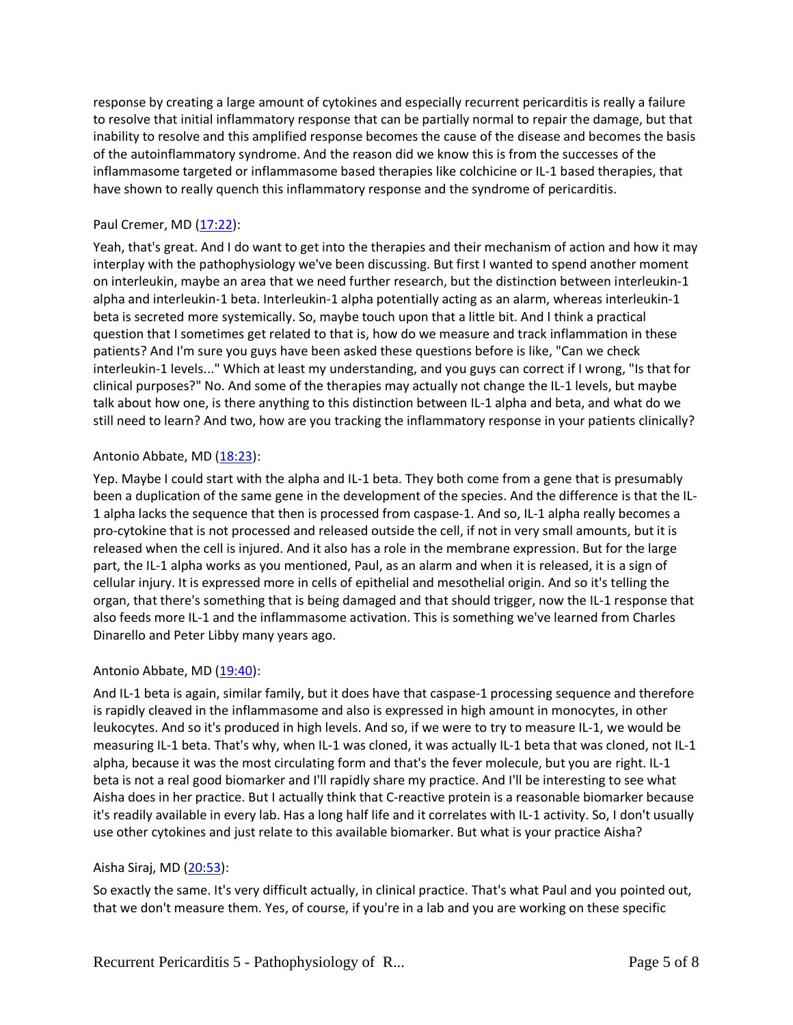response by creating a large amount of cytokines and especially recurrent pericarditis is really a failure to resolve that initial inflammatory response that can be partially normal to repair the damage, but that inability to resolve and this amplified response becomes the cause of the disease and becomes the basis of the autoinflammatory syndrome. And the reason did we know this is from the successes of the inflammasome targeted or inflammasome based therapies like colchicine or IL-1 based therapies, that have shown to really quench this inflammatory response and the syndrome of pericarditis.

## Paul Cremer, MD [\(17:22\)](https://www.rev.com/transcript-editor/Edit?token=zU3buus0eXWGHxm4_bemzr59EOPrKri7X1ZFobz-2LS5ANF00zRKVqPvEDpZfldbBuA8zmaqApZrOTpHUE-czq-71SM&loadFrom=DocumentDeeplink&ts=1042.21):

Yeah, that's great. And I do want to get into the therapies and their mechanism of action and how it may interplay with the pathophysiology we've been discussing. But first I wanted to spend another moment on interleukin, maybe an area that we need further research, but the distinction between interleukin-1 alpha and interleukin-1 beta. Interleukin-1 alpha potentially acting as an alarm, whereas interleukin-1 beta is secreted more systemically. So, maybe touch upon that a little bit. And I think a practical question that I sometimes get related to that is, how do we measure and track inflammation in these patients? And I'm sure you guys have been asked these questions before is like, "Can we check interleukin-1 levels..." Which at least my understanding, and you guys can correct if I wrong, "Is that for clinical purposes?" No. And some of the therapies may actually not change the IL-1 levels, but maybe talk about how one, is there anything to this distinction between IL-1 alpha and beta, and what do we still need to learn? And two, how are you tracking the inflammatory response in your patients clinically?

## Antonio Abbate, MD [\(18:23\)](https://www.rev.com/transcript-editor/Edit?token=Wrx7KMPi3wJTUQWhVJhxwFmDi_CHCBdqXxO6fONiPy02HhXVRww8YUjxLA5wktUY8kIgI_obQroE3gUhnEThb8de1l4&loadFrom=DocumentDeeplink&ts=1103.4):

Yep. Maybe I could start with the alpha and IL-1 beta. They both come from a gene that is presumably been a duplication of the same gene in the development of the species. And the difference is that the IL-1 alpha lacks the sequence that then is processed from caspase-1. And so, IL-1 alpha really becomes a pro-cytokine that is not processed and released outside the cell, if not in very small amounts, but it is released when the cell is injured. And it also has a role in the membrane expression. But for the large part, the IL-1 alpha works as you mentioned, Paul, as an alarm and when it is released, it is a sign of cellular injury. It is expressed more in cells of epithelial and mesothelial origin. And so it's telling the organ, that there's something that is being damaged and that should trigger, now the IL-1 response that also feeds more IL-1 and the inflammasome activation. This is something we've learned from Charles Dinarello and Peter Libby many years ago.

## Antonio Abbate, MD [\(19:40\)](https://www.rev.com/transcript-editor/Edit?token=yO7VhA_4IsEf20QBbBEY6EdMLqQpUhxpv8YtSHY8WvyGBr9O25ZD7X51BK3g-RQfIHrxurr19bw8xSVZGF-ZUVRPll0&loadFrom=DocumentDeeplink&ts=1180.95):

And IL-1 beta is again, similar family, but it does have that caspase-1 processing sequence and therefore is rapidly cleaved in the inflammasome and also is expressed in high amount in monocytes, in other leukocytes. And so it's produced in high levels. And so, if we were to try to measure IL-1, we would be measuring IL-1 beta. That's why, when IL-1 was cloned, it was actually IL-1 beta that was cloned, not IL-1 alpha, because it was the most circulating form and that's the fever molecule, but you are right. IL-1 beta is not a real good biomarker and I'll rapidly share my practice. And I'll be interesting to see what Aisha does in her practice. But I actually think that C-reactive protein is a reasonable biomarker because it's readily available in every lab. Has a long half life and it correlates with IL-1 activity. So, I don't usually use other cytokines and just relate to this available biomarker. But what is your practice Aisha?

## Aisha Siraj, MD [\(20:53\)](https://www.rev.com/transcript-editor/Edit?token=SoJt7D8LTdtWKqHSylN9nAeuip_QE-fwNN_Kg6xQ1Wqje7EwEnibU3b5DQlTm09KfFdeicPjs3dOYMFowViseodPYfo&loadFrom=DocumentDeeplink&ts=1253.4):

So exactly the same. It's very difficult actually, in clinical practice. That's what Paul and you pointed out, that we don't measure them. Yes, of course, if you're in a lab and you are working on these specific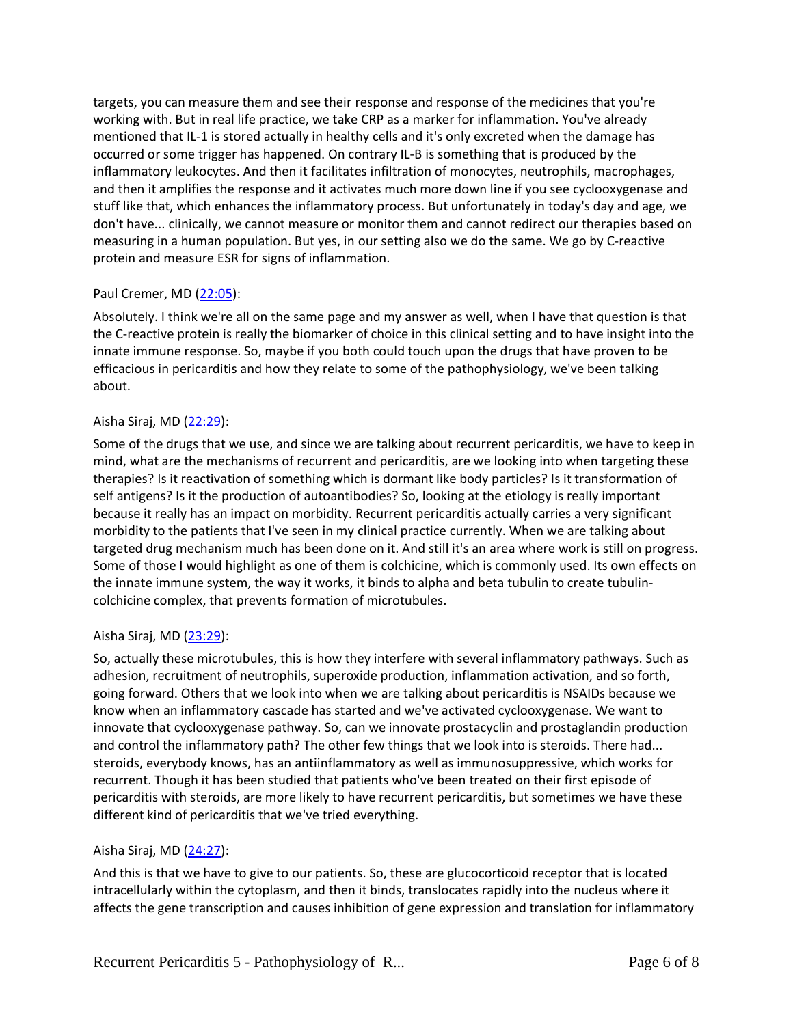targets, you can measure them and see their response and response of the medicines that you're working with. But in real life practice, we take CRP as a marker for inflammation. You've already mentioned that IL-1 is stored actually in healthy cells and it's only excreted when the damage has occurred or some trigger has happened. On contrary IL-B is something that is produced by the inflammatory leukocytes. And then it facilitates infiltration of monocytes, neutrophils, macrophages, and then it amplifies the response and it activates much more down line if you see cyclooxygenase and stuff like that, which enhances the inflammatory process. But unfortunately in today's day and age, we don't have... clinically, we cannot measure or monitor them and cannot redirect our therapies based on measuring in a human population. But yes, in our setting also we do the same. We go by C-reactive protein and measure ESR for signs of inflammation.

## Paul Cremer, MD [\(22:05\)](https://www.rev.com/transcript-editor/Edit?token=CSkWlbqW4f-Exn_5_c_7ZgG2O_pkPChdtT3kYPCY8DcIZOspvJwNXxyvTJK-VtdVMhIJ2zOtIQgzTRdD5XQCk-laQ3I&loadFrom=DocumentDeeplink&ts=1325.39):

Absolutely. I think we're all on the same page and my answer as well, when I have that question is that the C-reactive protein is really the biomarker of choice in this clinical setting and to have insight into the innate immune response. So, maybe if you both could touch upon the drugs that have proven to be efficacious in pericarditis and how they relate to some of the pathophysiology, we've been talking about.

#### Aisha Siraj, MD [\(22:29\)](https://www.rev.com/transcript-editor/Edit?token=so7l9UO00TuFx_ThEReqoq6g_APhs_uRU8bgvDCXNxnVi7FdctQwJh0mqM7FjOJLfhP18EwteJGWq4SPrd5ZLv73PNM&loadFrom=DocumentDeeplink&ts=1349.6):

Some of the drugs that we use, and since we are talking about recurrent pericarditis, we have to keep in mind, what are the mechanisms of recurrent and pericarditis, are we looking into when targeting these therapies? Is it reactivation of something which is dormant like body particles? Is it transformation of self antigens? Is it the production of autoantibodies? So, looking at the etiology is really important because it really has an impact on morbidity. Recurrent pericarditis actually carries a very significant morbidity to the patients that I've seen in my clinical practice currently. When we are talking about targeted drug mechanism much has been done on it. And still it's an area where work is still on progress. Some of those I would highlight as one of them is colchicine, which is commonly used. Its own effects on the innate immune system, the way it works, it binds to alpha and beta tubulin to create tubulincolchicine complex, that prevents formation of microtubules.

#### Aisha Siraj, MD [\(23:29\)](https://www.rev.com/transcript-editor/Edit?token=R0zFM9rqPff7CA4hNfYJyxoxosGBamwpHiFMEBnKVqImDLaXCa74TRBN8RiFFIt50ONXIKVftvoneFl4-wBRGtxFIoM&loadFrom=DocumentDeeplink&ts=1409.35):

So, actually these microtubules, this is how they interfere with several inflammatory pathways. Such as adhesion, recruitment of neutrophils, superoxide production, inflammation activation, and so forth, going forward. Others that we look into when we are talking about pericarditis is NSAIDs because we know when an inflammatory cascade has started and we've activated cyclooxygenase. We want to innovate that cyclooxygenase pathway. So, can we innovate prostacyclin and prostaglandin production and control the inflammatory path? The other few things that we look into is steroids. There had... steroids, everybody knows, has an antiinflammatory as well as immunosuppressive, which works for recurrent. Though it has been studied that patients who've been treated on their first episode of pericarditis with steroids, are more likely to have recurrent pericarditis, but sometimes we have these different kind of pericarditis that we've tried everything.

## Aisha Siraj, MD [\(24:27\)](https://www.rev.com/transcript-editor/Edit?token=gy1MXWPc9BLHbKLHnuCe0eHS7lNzk5fPDbDPbXFFdmLfF924UW0L-ZQNSrTXNASqoAQUYRGoKfKwlPtv8BW4c-FVDso&loadFrom=DocumentDeeplink&ts=1467.33):

And this is that we have to give to our patients. So, these are glucocorticoid receptor that is located intracellularly within the cytoplasm, and then it binds, translocates rapidly into the nucleus where it affects the gene transcription and causes inhibition of gene expression and translation for inflammatory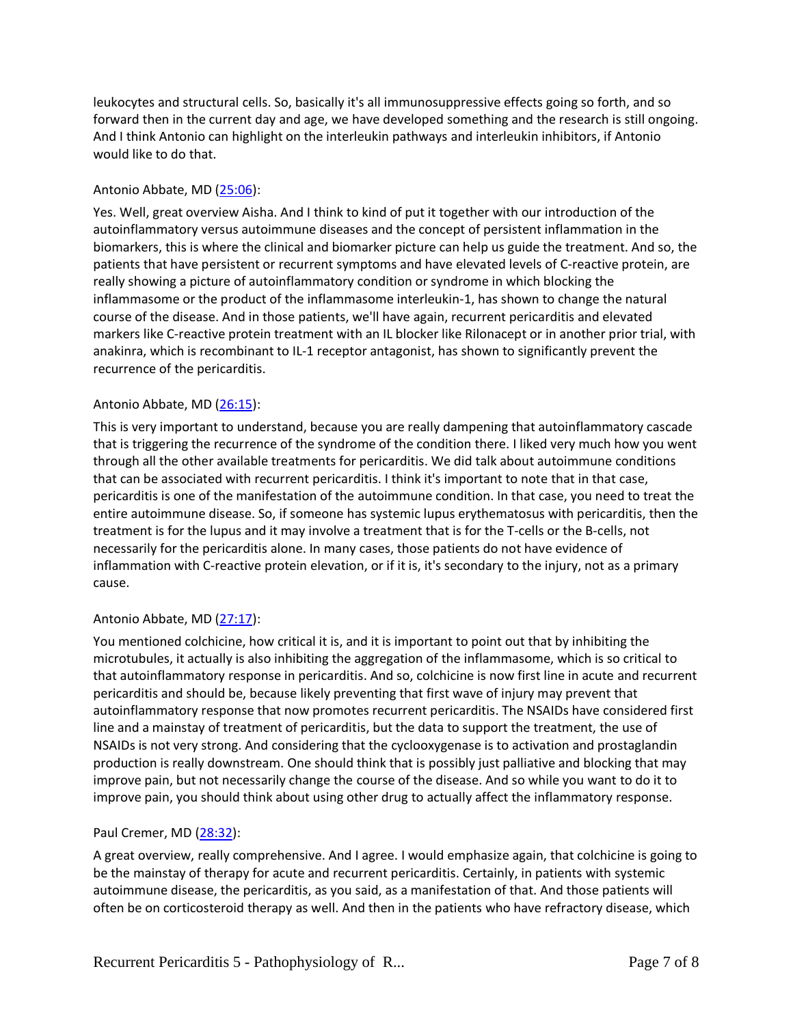leukocytes and structural cells. So, basically it's all immunosuppressive effects going so forth, and so forward then in the current day and age, we have developed something and the research is still ongoing. And I think Antonio can highlight on the interleukin pathways and interleukin inhibitors, if Antonio would like to do that.

# Antonio Abbate, MD [\(25:06\)](https://www.rev.com/transcript-editor/Edit?token=X8GBd-V24gJcLRvbqhtLxCUs_OJaRvOMhr7uJbYIbxR3GU8ZJgJ67JInt4XzsavO1AmryqjbPOZLVKT8Lc9WJk0Z4vA&loadFrom=DocumentDeeplink&ts=1506.24):

Yes. Well, great overview Aisha. And I think to kind of put it together with our introduction of the autoinflammatory versus autoimmune diseases and the concept of persistent inflammation in the biomarkers, this is where the clinical and biomarker picture can help us guide the treatment. And so, the patients that have persistent or recurrent symptoms and have elevated levels of C-reactive protein, are really showing a picture of autoinflammatory condition or syndrome in which blocking the inflammasome or the product of the inflammasome interleukin-1, has shown to change the natural course of the disease. And in those patients, we'll have again, recurrent pericarditis and elevated markers like C-reactive protein treatment with an IL blocker like Rilonacept or in another prior trial, with anakinra, which is recombinant to IL-1 receptor antagonist, has shown to significantly prevent the recurrence of the pericarditis.

# Antonio Abbate, MD [\(26:15\)](https://www.rev.com/transcript-editor/Edit?token=ktvk1Ejt-_7nTGjlTj4S5CBSaIpNJrINAV957i-xoLXSPmdjtJoTPiUYxACnRjy4BFqBtjJK1-xs53gWUFfjfWisRB8&loadFrom=DocumentDeeplink&ts=1575.82):

This is very important to understand, because you are really dampening that autoinflammatory cascade that is triggering the recurrence of the syndrome of the condition there. I liked very much how you went through all the other available treatments for pericarditis. We did talk about autoimmune conditions that can be associated with recurrent pericarditis. I think it's important to note that in that case, pericarditis is one of the manifestation of the autoimmune condition. In that case, you need to treat the entire autoimmune disease. So, if someone has systemic lupus erythematosus with pericarditis, then the treatment is for the lupus and it may involve a treatment that is for the T-cells or the B-cells, not necessarily for the pericarditis alone. In many cases, those patients do not have evidence of inflammation with C-reactive protein elevation, or if it is, it's secondary to the injury, not as a primary cause.

## Antonio Abbate, MD [\(27:17\)](https://www.rev.com/transcript-editor/Edit?token=GvqJDoRAqajM9NDgn9yBlbgjYlTGAIwXfNtSVLL1GK1WScfxu74wLCEXTNjT2am_eTqTZ7wjyubpwOqduJfXLU1CSd0&loadFrom=DocumentDeeplink&ts=1637.01):

You mentioned colchicine, how critical it is, and it is important to point out that by inhibiting the microtubules, it actually is also inhibiting the aggregation of the inflammasome, which is so critical to that autoinflammatory response in pericarditis. And so, colchicine is now first line in acute and recurrent pericarditis and should be, because likely preventing that first wave of injury may prevent that autoinflammatory response that now promotes recurrent pericarditis. The NSAIDs have considered first line and a mainstay of treatment of pericarditis, but the data to support the treatment, the use of NSAIDs is not very strong. And considering that the cyclooxygenase is to activation and prostaglandin production is really downstream. One should think that is possibly just palliative and blocking that may improve pain, but not necessarily change the course of the disease. And so while you want to do it to improve pain, you should think about using other drug to actually affect the inflammatory response.

## Paul Cremer, MD [\(28:32\)](https://www.rev.com/transcript-editor/Edit?token=7SFEWoSzBgleUUA70yvr-gVuKFeBF_Oz9kLl4yJbr2lPg-CFqE6herggwQsKiG6HhuLUPQln1aHXr30Ay67TsDhbMUs&loadFrom=DocumentDeeplink&ts=1712.87):

A great overview, really comprehensive. And I agree. I would emphasize again, that colchicine is going to be the mainstay of therapy for acute and recurrent pericarditis. Certainly, in patients with systemic autoimmune disease, the pericarditis, as you said, as a manifestation of that. And those patients will often be on corticosteroid therapy as well. And then in the patients who have refractory disease, which